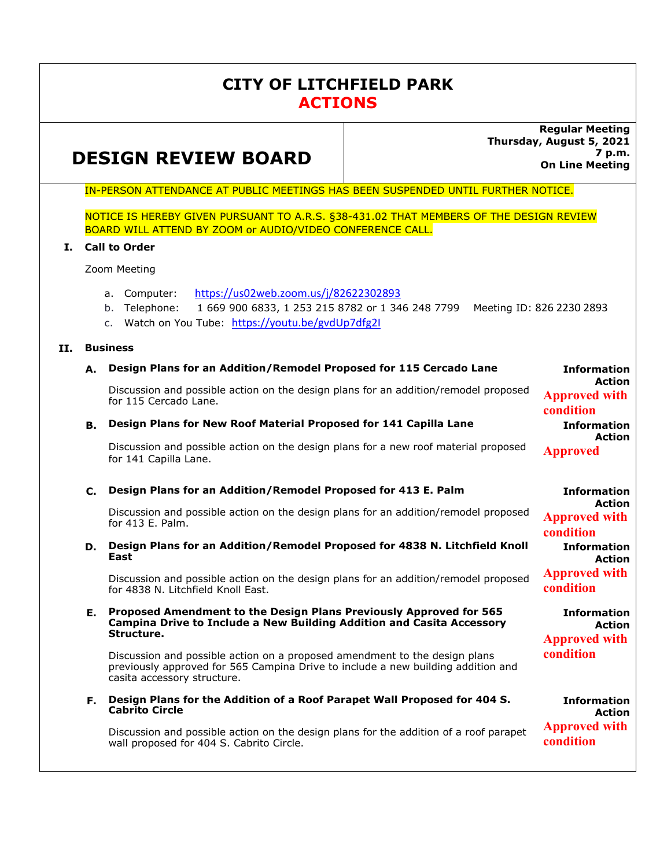## **CITY OF LITCHFIELD PARK ACTIONS**

# **DESIGN REVIEW BOARD**

**Regular Meeting Thursday, August 5, 2021 7 p.m. On Line Meeting** 

IN-PERSON ATTENDANCE AT PUBLIC MEETINGS HAS BEEN SUSPENDED UNTIL FURTHER NOTICE.

NOTICE IS HEREBY GIVEN PURSUANT TO A.R.S. §38-431.02 THAT MEMBERS OF THE DESIGN REVIEW BOARD WILL ATTEND BY ZOOM or AUDIO/VIDEO CONFERENCE CALL.

### **I. Call to Order**

Zoom Meeting

- a. Computer: https://us02web.zoom.us/j/82622302893
- b. Telephone: 1 669 900 6833, 1 253 215 8782 or 1 346 248 7799 Meeting ID: 826 2230 2893
- c. Watch on You Tube: https://youtu.be/gvdUp7dfg2I

### **II. Business**

### **A. Design Plans for an Addition/Remodel Proposed for 115 Cercado Lane**

Discussion and possible action on the design plans for an addition/remodel proposed for 115 Cercado Lane.

### **B. Design Plans for New Roof Material Proposed for 141 Capilla Lane**

Discussion and possible action on the design plans for a new roof material proposed for 141 Capilla Lane. **Approved** 

### **C. Design Plans for an Addition/Remodel Proposed for 413 E. Palm**

Discussion and possible action on the design plans for an addition/remodel proposed for 413 E. Palm.

**D. Design Plans for an Addition/Remodel Proposed for 4838 N. Litchfield Knoll East** 

Discussion and possible action on the design plans for an addition/remodel proposed for 4838 N. Litchfield Knoll East.

#### **E. Proposed Amendment to the Design Plans Previously Approved for 565 Campina Drive to Include a New Building Addition and Casita Accessory Structure.**

Discussion and possible action on a proposed amendment to the design plans previously approved for 565 Campina Drive to include a new building addition and casita accessory structure.

**F. Design Plans for the Addition of a Roof Parapet Wall Proposed for 404 S. Cabrito Circle** 

Discussion and possible action on the design plans for the addition of a roof parapet wall proposed for 404 S. Cabrito Circle.

**Information Action Approved with condition Information Action Approved with condition**

**Information Action** 

**Information Action** 

**Approved with condition**

**Information Action Approved with condition**

**Information Action Approved with condition**